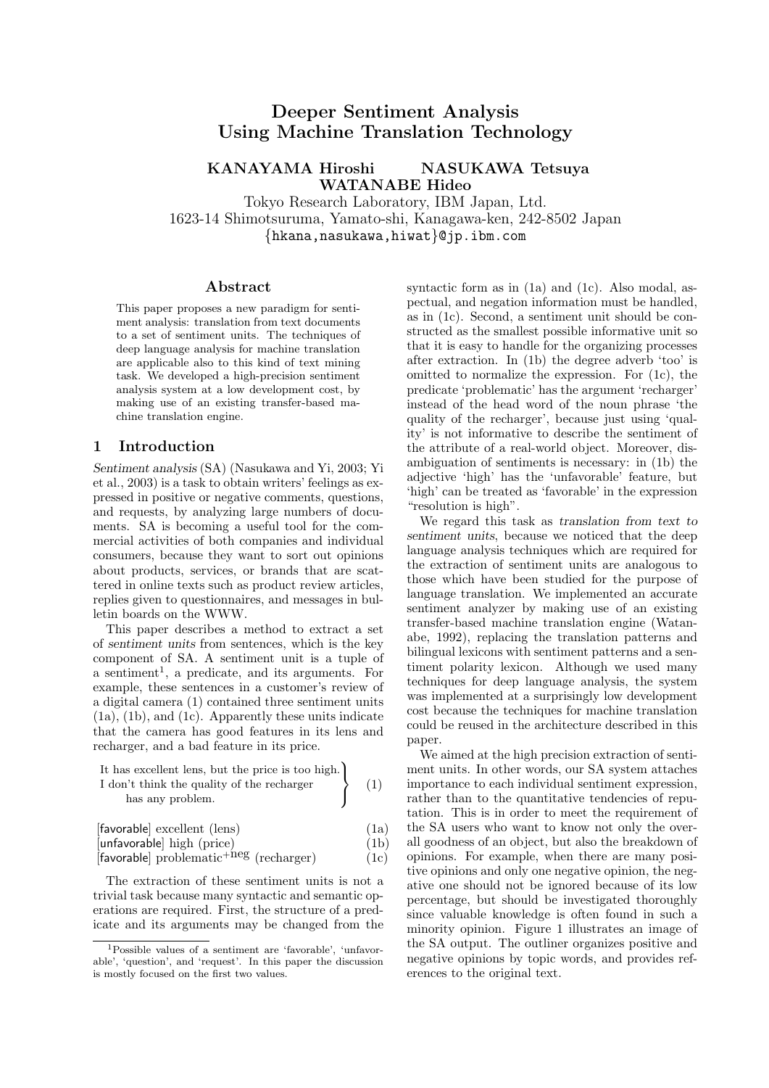# Deeper Sentiment Analysis Using Machine Translation Technology

KANAYAMA Hiroshi NASUKAWA Tetsuya WATANABE Hideo

Tokyo Research Laboratory, IBM Japan, Ltd. 1623-14 Shimotsuruma, Yamato-shi, Kanagawa-ken, 242-8502 Japan {hkana,nasukawa,hiwat}@jp.ibm.com

#### Abstract

This paper proposes a new paradigm for sentiment analysis: translation from text documents to a set of sentiment units. The techniques of deep language analysis for machine translation are applicable also to this kind of text mining task. We developed a high-precision sentiment analysis system at a low development cost, by making use of an existing transfer-based machine translation engine.

## 1 Introduction

Sentiment analysis (SA) (Nasukawa and Yi, 2003; Yi et al., 2003) is a task to obtain writers' feelings as expressed in positive or negative comments, questions, and requests, by analyzing large numbers of documents. SA is becoming a useful tool for the commercial activities of both companies and individual consumers, because they want to sort out opinions about products, services, or brands that are scattered in online texts such as product review articles, replies given to questionnaires, and messages in bulletin boards on the WWW.

This paper describes a method to extract a set of sentiment units from sentences, which is the key component of SA. A sentiment unit is a tuple of a sentiment<sup>1</sup>, a predicate, and its arguments. For example, these sentences in a customer's review of a digital camera (1) contained three sentiment units (1a), (1b), and (1c). Apparently these units indicate that the camera has good features in its lens and recharger, and a bad feature in its price.

| It has excellent lens, but the price is too high. |     |
|---------------------------------------------------|-----|
| I don't think the quality of the recharger        | (1) |
| has any problem.                                  |     |

 $\ddot{\phantom{a}}$ 

| [favorable] excellent (lens)                        | (1a) |
|-----------------------------------------------------|------|
| [unfavorable] high (price)                          | (1b) |
| [favorable] problematic <sup>+neg</sup> (recharger) | (1c) |

The extraction of these sentiment units is not a trivial task because many syntactic and semantic operations are required. First, the structure of a predicate and its arguments may be changed from the syntactic form as in (1a) and (1c). Also modal, aspectual, and negation information must be handled, as in (1c). Second, a sentiment unit should be constructed as the smallest possible informative unit so that it is easy to handle for the organizing processes after extraction. In (1b) the degree adverb 'too' is omitted to normalize the expression. For (1c), the predicate 'problematic' has the argument 'recharger' instead of the head word of the noun phrase 'the quality of the recharger', because just using 'quality' is not informative to describe the sentiment of the attribute of a real-world object. Moreover, disambiguation of sentiments is necessary: in (1b) the adjective 'high' has the 'unfavorable' feature, but 'high' can be treated as 'favorable' in the expression "resolution is high".

We regard this task as translation from text to sentiment units, because we noticed that the deep language analysis techniques which are required for the extraction of sentiment units are analogous to those which have been studied for the purpose of language translation. We implemented an accurate sentiment analyzer by making use of an existing transfer-based machine translation engine (Watanabe, 1992), replacing the translation patterns and bilingual lexicons with sentiment patterns and a sentiment polarity lexicon. Although we used many techniques for deep language analysis, the system was implemented at a surprisingly low development cost because the techniques for machine translation could be reused in the architecture described in this paper.

We aimed at the high precision extraction of sentiment units. In other words, our SA system attaches importance to each individual sentiment expression, rather than to the quantitative tendencies of reputation. This is in order to meet the requirement of the SA users who want to know not only the overall goodness of an object, but also the breakdown of opinions. For example, when there are many positive opinions and only one negative opinion, the negative one should not be ignored because of its low percentage, but should be investigated thoroughly since valuable knowledge is often found in such a minority opinion. Figure 1 illustrates an image of the SA output. The outliner organizes positive and negative opinions by topic words, and provides references to the original text.

<sup>1</sup>Possible values of a sentiment are 'favorable', 'unfavorable', 'question', and 'request'. In this paper the discussion is mostly focused on the first two values.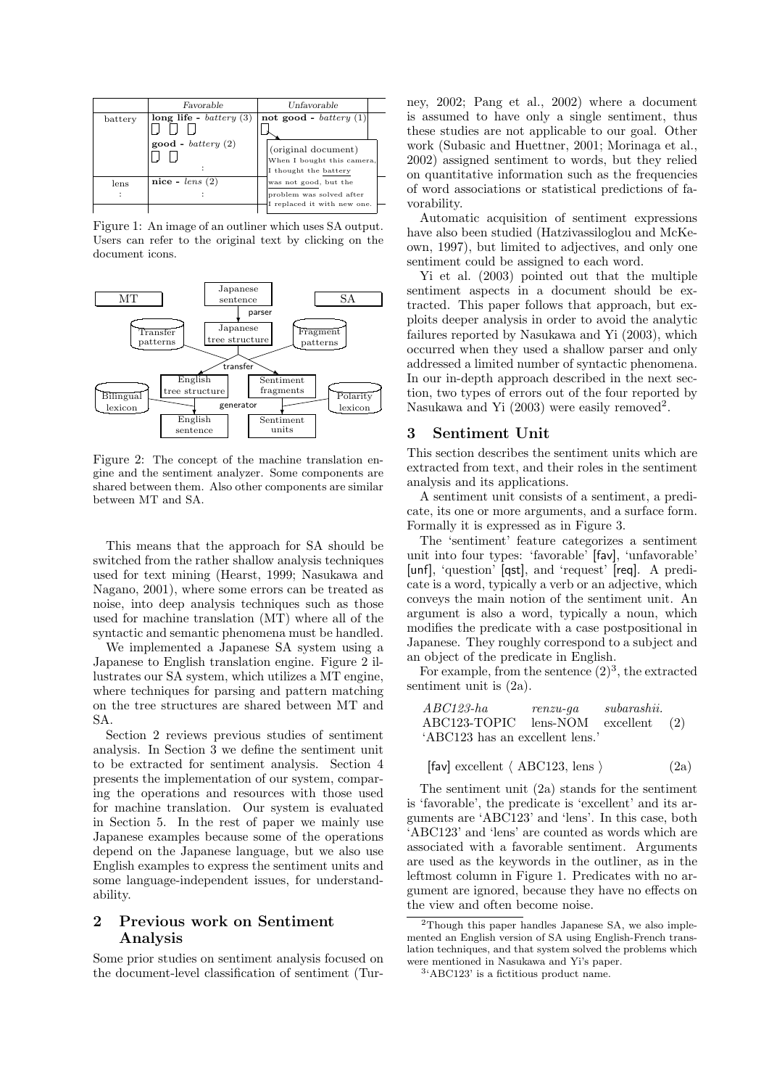|           | Favorable                                               | Unfavorable                                                                                           |  |
|-----------|---------------------------------------------------------|-------------------------------------------------------------------------------------------------------|--|
| battery   | long life - $battery(3)$<br>$\text{good}$ - battery (2) | not good - $battery(1)$<br>(original document)<br>When I bought this camera,<br>I thought the battery |  |
| lens<br>٠ | nice - $lens(2)$                                        | was not good, but the<br>problem was solved after<br>I replaced it with new one.                      |  |

Figure 1: An image of an outliner which uses SA output. Users can refer to the original text by clicking on the document icons.



Figure 2: The concept of the machine translation engine and the sentiment analyzer. Some components are shared between them. Also other components are similar between MT and SA.

This means that the approach for SA should be switched from the rather shallow analysis techniques used for text mining (Hearst, 1999; Nasukawa and Nagano, 2001), where some errors can be treated as noise, into deep analysis techniques such as those used for machine translation (MT) where all of the syntactic and semantic phenomena must be handled.

We implemented a Japanese SA system using a Japanese to English translation engine. Figure 2 illustrates our SA system, which utilizes a MT engine, where techniques for parsing and pattern matching on the tree structures are shared between MT and SA.

Section 2 reviews previous studies of sentiment analysis. In Section 3 we define the sentiment unit to be extracted for sentiment analysis. Section 4 presents the implementation of our system, comparing the operations and resources with those used for machine translation. Our system is evaluated in Section 5. In the rest of paper we mainly use Japanese examples because some of the operations depend on the Japanese language, but we also use English examples to express the sentiment units and some language-independent issues, for understandability.

## 2 Previous work on Sentiment Analysis

Some prior studies on sentiment analysis focused on the document-level classification of sentiment (Tur-

ney, 2002; Pang et al., 2002) where a document is assumed to have only a single sentiment, thus these studies are not applicable to our goal. Other work (Subasic and Huettner, 2001; Morinaga et al., 2002) assigned sentiment to words, but they relied on quantitative information such as the frequencies of word associations or statistical predictions of favorability.

Automatic acquisition of sentiment expressions have also been studied (Hatzivassiloglou and McKeown, 1997), but limited to adjectives, and only one sentiment could be assigned to each word.

Yi et al. (2003) pointed out that the multiple sentiment aspects in a document should be extracted. This paper follows that approach, but exploits deeper analysis in order to avoid the analytic failures reported by Nasukawa and Yi (2003), which occurred when they used a shallow parser and only addressed a limited number of syntactic phenomena. In our in-depth approach described in the next section, two types of errors out of the four reported by Nasukawa and Yi  $(2003)$  were easily removed<sup>2</sup>.

## 3 Sentiment Unit

This section describes the sentiment units which are extracted from text, and their roles in the sentiment analysis and its applications.

A sentiment unit consists of a sentiment, a predicate, its one or more arguments, and a surface form. Formally it is expressed as in Figure 3.

The 'sentiment' feature categorizes a sentiment unit into four types: 'favorable' [fav], 'unfavorable' [unf], 'question' [qst], and 'request' [req]. A predicate is a word, typically a verb or an adjective, which conveys the main notion of the sentiment unit. An argument is also a word, typically a noun, which modifies the predicate with a case postpositional in Japanese. They roughly correspond to a subject and an object of the predicate in English.

For example, from the sentence  $(2)^3$ , the extracted sentiment unit is  $(2a)$ .

| $ABC123$ -ha                    | $renzu$ -qa              | subarashii. |  |
|---------------------------------|--------------------------|-------------|--|
| ABC123-TOPIC                    | $lens-NOM$ excellent (2) |             |  |
| 'ABC123 has an excellent lens.' |                          |             |  |

$$
[{\text{fav}}] \text{ excellent } \langle \text{ ABC123, lens } \rangle \tag{2a}
$$

The sentiment unit (2a) stands for the sentiment is 'favorable', the predicate is 'excellent' and its arguments are 'ABC123' and 'lens'. In this case, both 'ABC123' and 'lens' are counted as words which are associated with a favorable sentiment. Arguments are used as the keywords in the outliner, as in the leftmost column in Figure 1. Predicates with no argument are ignored, because they have no effects on the view and often become noise.

<sup>2</sup>Though this paper handles Japanese SA, we also implemented an English version of SA using English-French translation techniques, and that system solved the problems which were mentioned in Nasukawa and Yi's paper.

<sup>3</sup> 'ABC123' is a fictitious product name.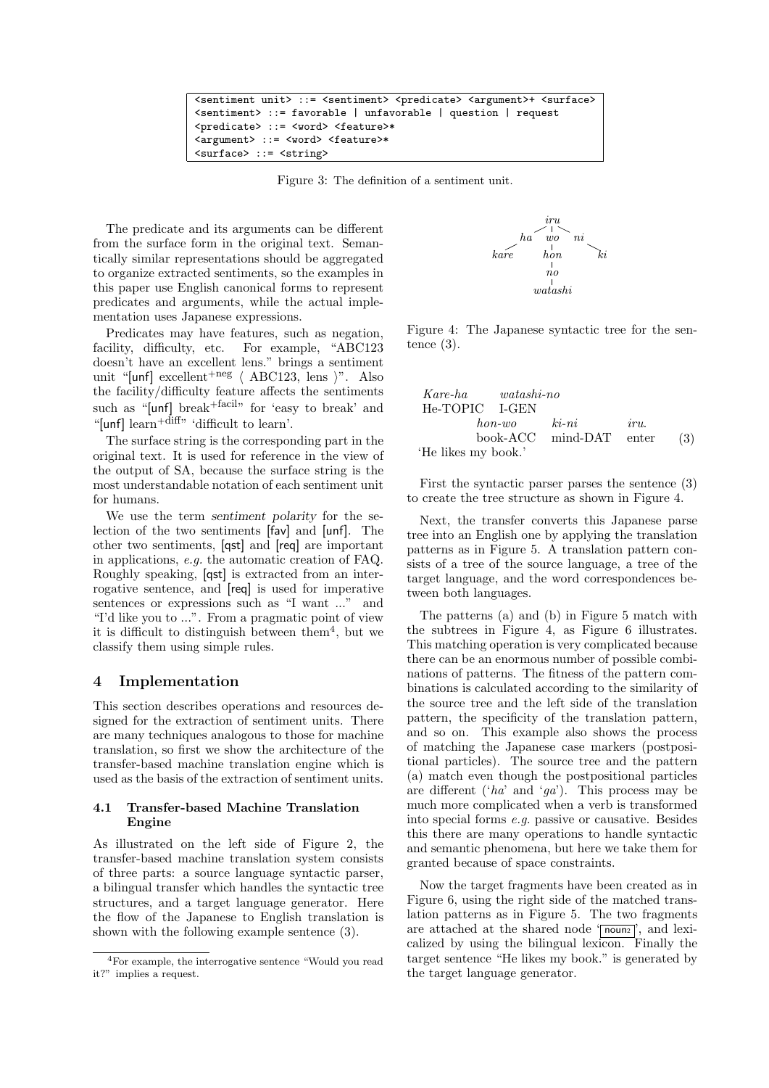```
<sentiment unit> ::= <sentiment> <predicate> <argument>+ <surface>
<sentiment> ::= favorable | unfavorable | question | request
<predicate> ::= <word> <feature>*
<argument> ::= <word> <feature>*
<surface> ::= <string>
```
Figure 3: The definition of a sentiment unit.

The predicate and its arguments can be different from the surface form in the original text. Semantically similar representations should be aggregated to organize extracted sentiments, so the examples in this paper use English canonical forms to represent predicates and arguments, while the actual implementation uses Japanese expressions.

Predicates may have features, such as negation, facility, difficulty, etc. For example, "ABC123 doesn't have an excellent lens." brings a sentiment unit "[unf] excellent<sup>+neg</sup>  $\langle$  ABC123, lens  $\rangle$ ". Also the facility/difficulty feature affects the sentiments such as "[unf] break<sup>+facil</sup>" for 'easy to break' and "[unf]  $\text{learn}^{\text{diff}}$ " difficult to learn'.

The surface string is the corresponding part in the original text. It is used for reference in the view of the output of SA, because the surface string is the most understandable notation of each sentiment unit for humans.

We use the term sentiment polarity for the selection of the two sentiments [fav] and [unf]. The other two sentiments, [qst] and [req] are important in applications, e.g. the automatic creation of FAQ. Roughly speaking, [qst] is extracted from an interrogative sentence, and [req] is used for imperative sentences or expressions such as "I want ..." and "I'd like you to ...". From a pragmatic point of view it is difficult to distinguish between them<sup>4</sup>, but we classify them using simple rules.

#### 4 Implementation

This section describes operations and resources designed for the extraction of sentiment units. There are many techniques analogous to those for machine translation, so first we show the architecture of the transfer-based machine translation engine which is used as the basis of the extraction of sentiment units.

#### 4.1 Transfer-based Machine Translation Engine

As illustrated on the left side of Figure 2, the transfer-based machine translation system consists of three parts: a source language syntactic parser, a bilingual transfer which handles the syntactic tree structures, and a target language generator. Here the flow of the Japanese to English translation is shown with the following example sentence (3).



Figure 4: The Japanese syntactic tree for the sentence (3).

| Kare-ha             | watashi-no |         |         |
|---------------------|------------|---------|---------|
| He-TOPIC            | I-GEN      | $kin-n$ | $iru$ . |
| book-ACC            | mind-DAT   | enter   | (3)     |
| 'He likes my book.' |            |         |         |

First the syntactic parser parses the sentence (3) to create the tree structure as shown in Figure 4.

Next, the transfer converts this Japanese parse tree into an English one by applying the translation patterns as in Figure 5. A translation pattern consists of a tree of the source language, a tree of the target language, and the word correspondences between both languages.

The patterns (a) and (b) in Figure 5 match with the subtrees in Figure 4, as Figure 6 illustrates. This matching operation is very complicated because there can be an enormous number of possible combinations of patterns. The fitness of the pattern combinations is calculated according to the similarity of the source tree and the left side of the translation pattern, the specificity of the translation pattern, and so on. This example also shows the process of matching the Japanese case markers (postpositional particles). The source tree and the pattern (a) match even though the postpositional particles are different (' $ha$ ' and ' $ga$ '). This process may be much more complicated when a verb is transformed into special forms e.g. passive or causative. Besides this there are many operations to handle syntactic and semantic phenomena, but here we take them for granted because of space constraints.

Now the target fragments have been created as in Figure 6, using the right side of the matched translation patterns as in Figure 5. The two fragments are attached at the shared node  $\overline{\text{noun2}}$ , and lexicalized by using the bilingual lexicon. Finally the target sentence "He likes my book." is generated by the target language generator.

<sup>4</sup>For example, the interrogative sentence "Would you read it?" implies a request.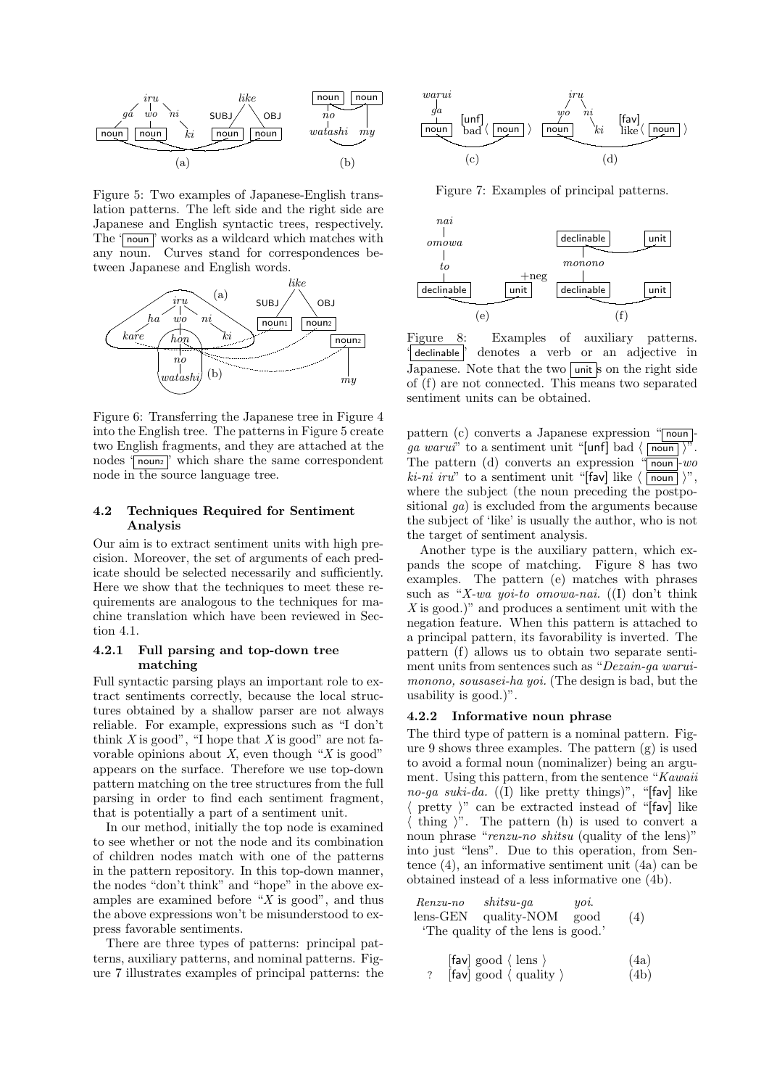

Figure 5: Two examples of Japanese-English translation patterns. The left side and the right side are Japanese and English syntactic trees, respectively. The ' $\overline{\text{noun}}$ ' works as a wildcard which matches with any noun. Curves stand for correspondences between Japanese and English words.



Figure 6: Transferring the Japanese tree in Figure 4 into the English tree. The patterns in Figure 5 create two English fragments, and they are attached at the nodes 'nounz' which share the same correspondent node in the source language tree.

#### 4.2 Techniques Required for Sentiment Analysis

Our aim is to extract sentiment units with high precision. Moreover, the set of arguments of each predicate should be selected necessarily and sufficiently. Here we show that the techniques to meet these requirements are analogous to the techniques for machine translation which have been reviewed in Section 4.1.

#### 4.2.1 Full parsing and top-down tree matching

Full syntactic parsing plays an important role to extract sentiments correctly, because the local structures obtained by a shallow parser are not always reliable. For example, expressions such as "I don't think  $X$  is good", "I hope that  $X$  is good" are not favorable opinions about  $X$ , even though " $X$  is good" appears on the surface. Therefore we use top-down pattern matching on the tree structures from the full parsing in order to find each sentiment fragment, that is potentially a part of a sentiment unit.

In our method, initially the top node is examined to see whether or not the node and its combination of children nodes match with one of the patterns in the pattern repository. In this top-down manner, the nodes "don't think" and "hope" in the above examples are examined before " $X$  is good", and thus the above expressions won't be misunderstood to express favorable sentiments.

There are three types of patterns: principal patterns, auxiliary patterns, and nominal patterns. Figure 7 illustrates examples of principal patterns: the



Figure 7: Examples of principal patterns.



Figure 8: Examples of auxiliary patterns. ' declinable ' denotes a verb or an adjective in Japanese. Note that the two unit  $\frac{1}{s}$  on the right side of (f) are not connected. This means two separated sentiment units can be obtained.

pattern (c) converts a Japanese expression "noun*ga warui*" to a sentiment unit "[unf] bad  $\langle \overline{\text{noun}} \rangle$ . The pattern (d) converts an expression " $\overline{\text{noun}}$ -wo  $ki-ni$  iru" to a sentiment unit "[fav] like  $\langle \overline{\text{noun}} \rangle$ ", where the subject (the noun preceding the postpositional ga) is excluded from the arguments because the subject of 'like' is usually the author, who is not the target of sentiment analysis.

Another type is the auxiliary pattern, which expands the scope of matching. Figure 8 has two examples. The pattern (e) matches with phrases such as "X-wa yoi-to omowa-nai.  $(1)$  don't think  $X$  is good.)" and produces a sentiment unit with the negation feature. When this pattern is attached to a principal pattern, its favorability is inverted. The pattern (f) allows us to obtain two separate sentiment units from sentences such as "Dezain-ga waruimonono, sousasei-ha yoi. (The design is bad, but the usability is good.)".

#### 4.2.2 Informative noun phrase

The third type of pattern is a nominal pattern. Figure 9 shows three examples. The pattern (g) is used to avoid a formal noun (nominalizer) being an argument. Using this pattern, from the sentence "Kawaii" no-ga suki-da.  $(1)$  like pretty things)", "[fav] like  $\langle$  pretty  $\rangle$ " can be extracted instead of "[fav] like  $\langle$  thing  $\rangle$ ". The pattern (h) is used to convert a noun phrase "renzu-no shitsu (quality of the lens)" into just "lens". Due to this operation, from Sentence (4), an informative sentiment unit (4a) can be obtained instead of a less informative one (4b).

Renzu-no shitsu-ga yoi. lens-GEN quality-NOM good 'The quality of the lens is good.' (4)

$$
\begin{array}{ll}\n\text{[fav] good} \langle \text{ lens } \rangle & \text{(4a)} \\
? \quad \text{[fav] good} \langle \text{ quality } \rangle & \text{(4b)}\n\end{array}
$$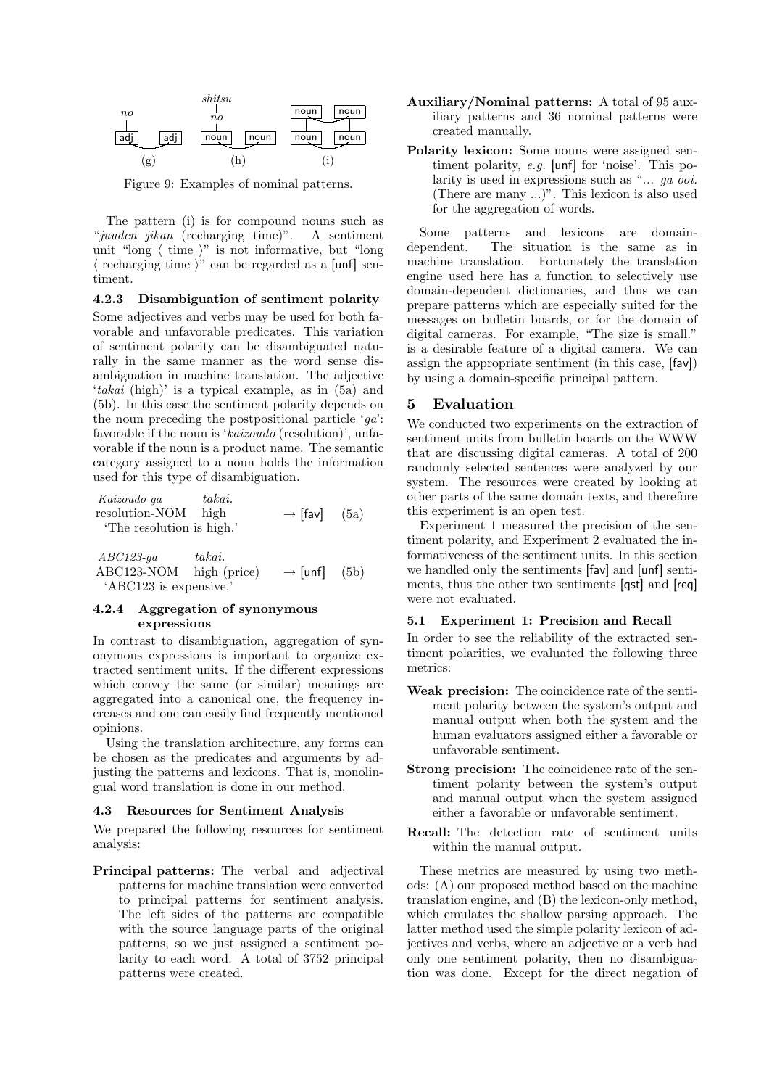

Figure 9: Examples of nominal patterns.

The pattern (i) is for compound nouns such as "juuden jikan (recharging time)". A sentiment unit "long  $\langle$  time  $\rangle$ " is not informative, but "long"  $\langle$  recharging time  $\rangle$ " can be regarded as a [unf] sentiment.

4.2.3 Disambiguation of sentiment polarity Some adjectives and verbs may be used for both favorable and unfavorable predicates. This variation of sentiment polarity can be disambiguated naturally in the same manner as the word sense disambiguation in machine translation. The adjective 'takai (high)' is a typical example, as in (5a) and (5b). In this case the sentiment polarity depends on the noun preceding the postpositional particle  $'qa$ : favorable if the noun is 'kaizoudo (resolution)', unfavorable if the noun is a product name. The semantic category assigned to a noun holds the information used for this type of disambiguation.

Kaizoudo-ga takai. resolution-NOM high 'The resolution is high.'  $\rightarrow$  [fav]  $(5a)$ 

ABC123-ga takai. ABC123-NOM high (price) 'ABC123 is expensive.'  $\rightarrow$  [unf] (5b)

#### 4.2.4 Aggregation of synonymous expressions

In contrast to disambiguation, aggregation of synonymous expressions is important to organize extracted sentiment units. If the different expressions which convey the same (or similar) meanings are aggregated into a canonical one, the frequency increases and one can easily find frequently mentioned opinions.

Using the translation architecture, any forms can be chosen as the predicates and arguments by adjusting the patterns and lexicons. That is, monolingual word translation is done in our method.

#### 4.3 Resources for Sentiment Analysis

We prepared the following resources for sentiment analysis:

Principal patterns: The verbal and adjectival patterns for machine translation were converted to principal patterns for sentiment analysis. The left sides of the patterns are compatible with the source language parts of the original patterns, so we just assigned a sentiment polarity to each word. A total of 3752 principal patterns were created.

- Auxiliary/Nominal patterns: A total of 95 auxiliary patterns and 36 nominal patterns were created manually.
- Polarity lexicon: Some nouns were assigned sentiment polarity, e.g. [unf] for 'noise'. This polarity is used in expressions such as "... *qa ooi*. (There are many ...)". This lexicon is also used for the aggregation of words.

Some patterns and lexicons are domaindependent. The situation is the same as in machine translation. Fortunately the translation engine used here has a function to selectively use domain-dependent dictionaries, and thus we can prepare patterns which are especially suited for the messages on bulletin boards, or for the domain of digital cameras. For example, "The size is small." is a desirable feature of a digital camera. We can assign the appropriate sentiment (in this case, [fav]) by using a domain-specific principal pattern.

#### 5 Evaluation

We conducted two experiments on the extraction of sentiment units from bulletin boards on the WWW that are discussing digital cameras. A total of 200 randomly selected sentences were analyzed by our system. The resources were created by looking at other parts of the same domain texts, and therefore this experiment is an open test.

Experiment 1 measured the precision of the sentiment polarity, and Experiment 2 evaluated the informativeness of the sentiment units. In this section we handled only the sentiments [fav] and [unf] sentiments, thus the other two sentiments [qst] and [req] were not evaluated.

#### 5.1 Experiment 1: Precision and Recall

In order to see the reliability of the extracted sentiment polarities, we evaluated the following three metrics:

- Weak precision: The coincidence rate of the sentiment polarity between the system's output and manual output when both the system and the human evaluators assigned either a favorable or unfavorable sentiment.
- Strong precision: The coincidence rate of the sentiment polarity between the system's output and manual output when the system assigned either a favorable or unfavorable sentiment.
- Recall: The detection rate of sentiment units within the manual output.

These metrics are measured by using two methods: (A) our proposed method based on the machine translation engine, and (B) the lexicon-only method, which emulates the shallow parsing approach. The latter method used the simple polarity lexicon of adjectives and verbs, where an adjective or a verb had only one sentiment polarity, then no disambiguation was done. Except for the direct negation of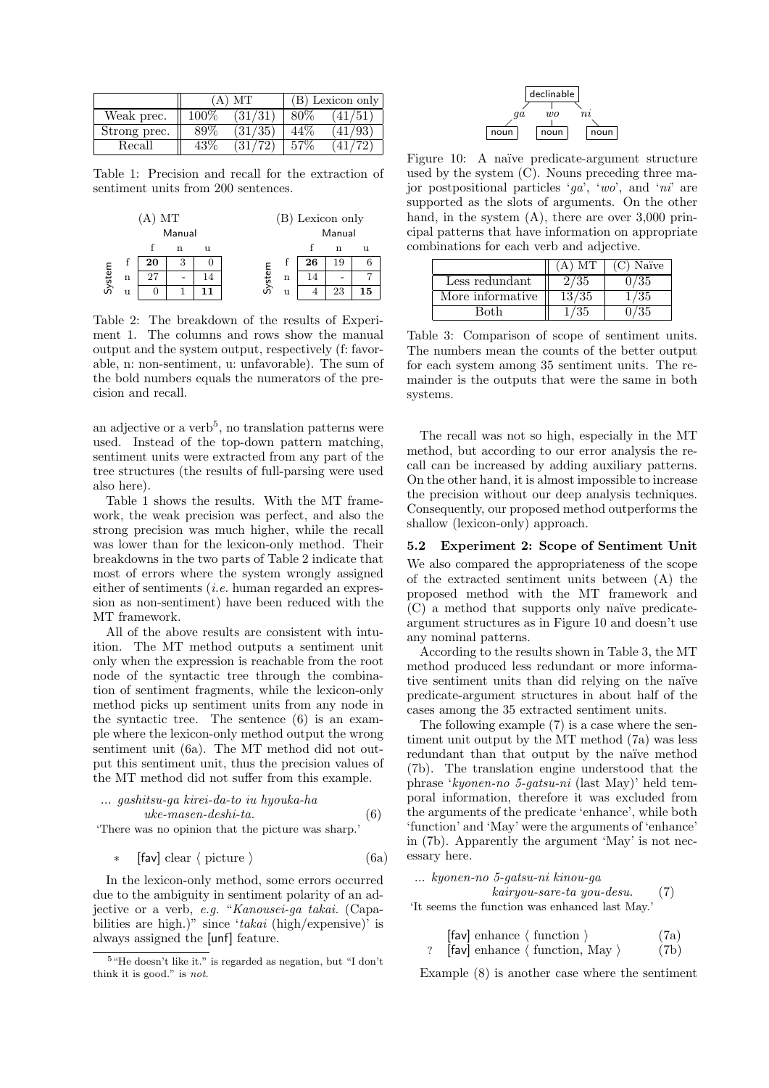|              | $(A)$ MT |         |        | (B) Lexicon only        |
|--------------|----------|---------|--------|-------------------------|
| Weak prec.   | $100\%$  | (31/31) | $80\%$ | $\langle 41/51 \rangle$ |
| Strong prec. | 89\%     | (31/35) | 44%    | (41/93)                 |
| Recall       | 43%      | (31/72) | 57%    | (41/72)                 |

Table 1: Precision and recall for the extraction of sentiment units from 200 sentences.

| MТ<br>А |             |    |   | (B) Lexicon only |        |   |    |    |    |
|---------|-------------|----|---|------------------|--------|---|----|----|----|
| Manual  |             |    |   | Manual           |        |   |    |    |    |
|         |             |    | n | 11               |        |   |    | n  | 11 |
|         | f           | 20 | 3 |                  |        | İ | 26 | 19 |    |
| System  | $\mathbf n$ | 27 |   | 14               | System | n | 14 |    |    |
|         | u           |    |   | 11               |        | u |    | 23 | 15 |

Table 2: The breakdown of the results of Experiment 1. The columns and rows show the manual output and the system output, respectively (f: favorable, n: non-sentiment, u: unfavorable). The sum of the bold numbers equals the numerators of the precision and recall.

an adjective or a verb<sup>5</sup>, no translation patterns were used. Instead of the top-down pattern matching, sentiment units were extracted from any part of the tree structures (the results of full-parsing were used also here).

Table 1 shows the results. With the MT framework, the weak precision was perfect, and also the strong precision was much higher, while the recall was lower than for the lexicon-only method. Their breakdowns in the two parts of Table 2 indicate that most of errors where the system wrongly assigned either of sentiments (i.e. human regarded an expression as non-sentiment) have been reduced with the MT framework.

All of the above results are consistent with intuition. The MT method outputs a sentiment unit only when the expression is reachable from the root node of the syntactic tree through the combination of sentiment fragments, while the lexicon-only method picks up sentiment units from any node in the syntactic tree. The sentence (6) is an example where the lexicon-only method output the wrong sentiment unit (6a). The MT method did not output this sentiment unit, thus the precision values of the MT method did not suffer from this example.

$$
\dots\ gashitsu-ga\ kirei-da-to\ iu\ hyouka-hauke-masen-deshi-ta.\n\tag{6}
$$

'There was no opinion that the picture was sharp.'

$$
* \quad \text{[fav] clear } \langle \text{ picture } \rangle \tag{6a}
$$

In the lexicon-only method, some errors occurred due to the ambiguity in sentiment polarity of an adjective or a verb, e.g. "Kanousei-ga takai. (Capabilities are high.)" since ' $takai$  (high/expensive)' is always assigned the [unf] feature.



Figure 10: A naïve predicate-argument structure used by the system (C). Nouns preceding three major postpositional particles 'ga', 'wo', and 'ni' are supported as the slots of arguments. On the other hand, in the system (A), there are over 3,000 principal patterns that have information on appropriate combinations for each verb and adjective.

|                                      | A) MT | $(C)$ Naïve |
|--------------------------------------|-------|-------------|
| Less redundant                       | 2/35  | ${1/35}$    |
| $\overline{\text{More}}$ informative | 13/35 | /35         |
| Both                                 | -35   | 35          |

Table 3: Comparison of scope of sentiment units. The numbers mean the counts of the better output for each system among 35 sentiment units. The remainder is the outputs that were the same in both systems.

The recall was not so high, especially in the MT method, but according to our error analysis the recall can be increased by adding auxiliary patterns. On the other hand, it is almost impossible to increase the precision without our deep analysis techniques. Consequently, our proposed method outperforms the shallow (lexicon-only) approach.

#### 5.2 Experiment 2: Scope of Sentiment Unit

We also compared the appropriateness of the scope of the extracted sentiment units between (A) the proposed method with the MT framework and (C) a method that supports only na¨ıve predicateargument structures as in Figure 10 and doesn't use any nominal patterns.

According to the results shown in Table 3, the MT method produced less redundant or more informative sentiment units than did relying on the naïve predicate-argument structures in about half of the cases among the 35 extracted sentiment units.

The following example (7) is a case where the sentiment unit output by the MT method (7a) was less redundant than that output by the naïve method (7b). The translation engine understood that the phrase 'kyonen-no 5-gatsu-ni (last May)' held temporal information, therefore it was excluded from the arguments of the predicate 'enhance', while both 'function' and 'May' were the arguments of 'enhance' in (7b). Apparently the argument 'May' is not necessary here.

```
... kyonen-no 5-gatsu-ni kinou-ga
              kairyou-sare-ta you-desu. (7)
'It seems the function was enhanced last May.'
```

$$
[fav] enhance \langle function \rangle
$$
 (7a)  
? [fav] enhance \langle function, May \rangle (7b)

Example (8) is another case where the sentiment

<sup>5</sup>"He doesn't like it." is regarded as negation, but "I don't think it is good." is not.